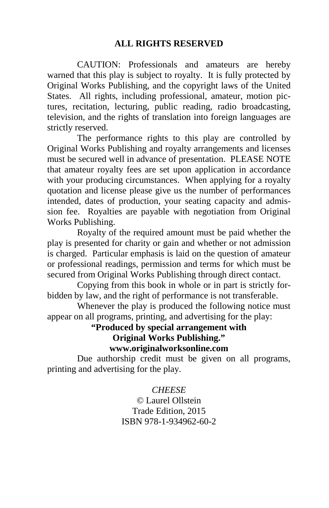#### **ALL RIGHTS RESERVED**

 CAUTION: Professionals and amateurs are hereby warned that this play is subject to royalty. It is fully protected by Original Works Publishing, and the copyright laws of the United States. All rights, including professional, amateur, motion pictures, recitation, lecturing, public reading, radio broadcasting, television, and the rights of translation into foreign languages are strictly reserved.

 The performance rights to this play are controlled by Original Works Publishing and royalty arrangements and licenses must be secured well in advance of presentation. PLEASE NOTE that amateur royalty fees are set upon application in accordance with your producing circumstances. When applying for a royalty quotation and license please give us the number of performances intended, dates of production, your seating capacity and admission fee. Royalties are payable with negotiation from Original Works Publishing.

 Royalty of the required amount must be paid whether the play is presented for charity or gain and whether or not admission is charged. Particular emphasis is laid on the question of amateur or professional readings, permission and terms for which must be secured from Original Works Publishing through direct contact.

 Copying from this book in whole or in part is strictly forbidden by law, and the right of performance is not transferable.

 Whenever the play is produced the following notice must appear on all programs, printing, and advertising for the play:

> **"Produced by special arrangement with Original Works Publishing." www.originalworksonline.com**

 Due authorship credit must be given on all programs, printing and advertising for the play.

#### *CHEESE*

© Laurel Ollstein Trade Edition, 2015 ISBN 978-1-934962-60-2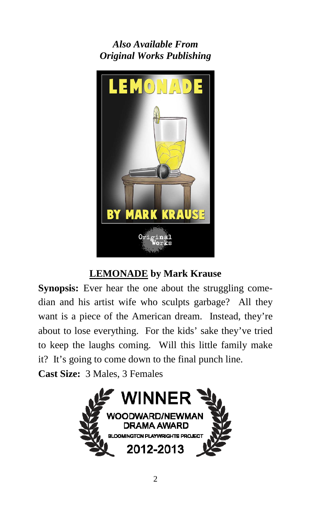*Also Available From Original Works Publishing* 



### **LEMONADE by Mark Krause**

**Synopsis:** Ever hear the one about the struggling comedian and his artist wife who sculpts garbage? All they want is a piece of the American dream. Instead, they're about to lose everything. For the kids' sake they've tried to keep the laughs coming. Will this little family make it? It's going to come down to the final punch line.

**Cast Size:** 3 Males, 3 Females

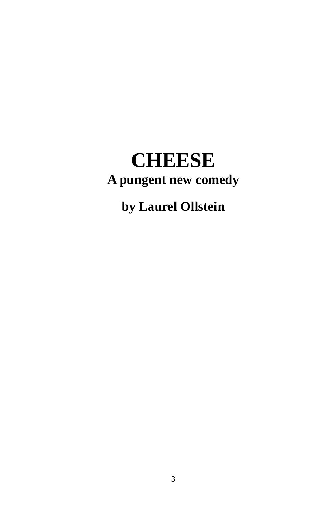# **CHEESE A pungent new comedy**

# **by Laurel Ollstein**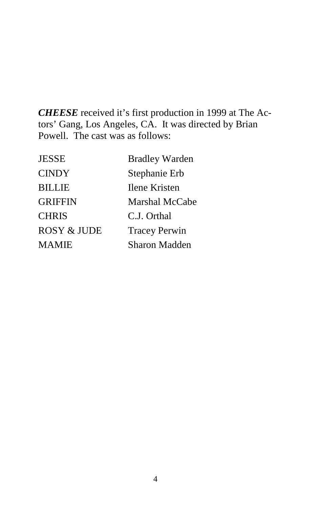*CHEESE* received it's first production in 1999 at The Actors' Gang, Los Angeles, CA. It was directed by Brian Powell. The cast was as follows:

| JESSE                  | <b>Bradley Warden</b> |
|------------------------|-----------------------|
| <b>CINDY</b>           | Stephanie Erb         |
| <b>BILLIE</b>          | <b>Ilene Kristen</b>  |
| <b>GRIFFIN</b>         | <b>Marshal McCabe</b> |
| <b>CHRIS</b>           | C.J. Orthal           |
| <b>ROSY &amp; JUDE</b> | <b>Tracey Perwin</b>  |
| MAMIE                  | Sharon Madden         |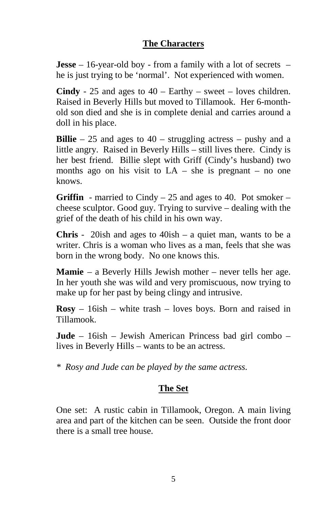#### **The Characters**

**Jesse** – 16-year-old boy - from a family with a lot of secrets – he is just trying to be 'normal'. Not experienced with women.

**Cindy** - 25 and ages to 40 – Earthy – sweet – loves children. Raised in Beverly Hills but moved to Tillamook. Her 6-monthold son died and she is in complete denial and carries around a doll in his place.

**Billie** – 25 and ages to 40 – struggling actress – pushy and a little angry. Raised in Beverly Hills – still lives there. Cindy is her best friend. Billie slept with Griff (Cindy's husband) two months ago on his visit to  $LA$  – she is pregnant – no one knows.

**Griffin** - married to Cindy – 25 and ages to 40. Pot smoker – cheese sculptor. Good guy. Trying to survive – dealing with the grief of the death of his child in his own way.

**Chris** - 20ish and ages to 40ish – a quiet man, wants to be a writer. Chris is a woman who lives as a man, feels that she was born in the wrong body. No one knows this.

**Mamie** – a Beverly Hills Jewish mother – never tells her age. In her youth she was wild and very promiscuous, now trying to make up for her past by being clingy and intrusive.

**Rosy** – 16ish – white trash – loves boys. Born and raised in Tillamook.

**Jude** – 16ish – Jewish American Princess bad girl combo – lives in Beverly Hills – wants to be an actress.

*\* Rosy and Jude can be played by the same actress.* 

#### **The Set**

One set: A rustic cabin in Tillamook, Oregon. A main living area and part of the kitchen can be seen. Outside the front door there is a small tree house.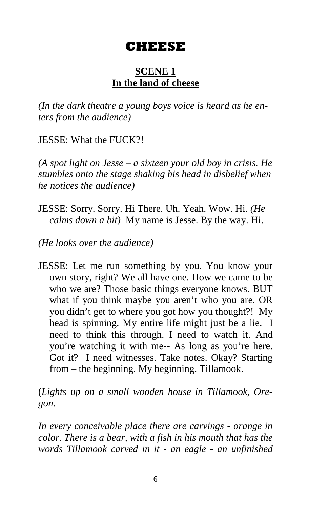## **CHEESE**

#### **SCENE 1 In the land of cheese**

*(In the dark theatre a young boys voice is heard as he enters from the audience)* 

JESSE: What the FUCK?!

*(A spot light on Jesse – a sixteen your old boy in crisis. He stumbles onto the stage shaking his head in disbelief when he notices the audience)* 

JESSE: Sorry. Sorry. Hi There. Uh. Yeah. Wow. Hi. *(He calms down a bit)* My name is Jesse. By the way. Hi.

*(He looks over the audience)* 

JESSE: Let me run something by you. You know your own story, right? We all have one. How we came to be who we are? Those basic things everyone knows. BUT what if you think maybe you aren't who you are. OR you didn't get to where you got how you thought?! My head is spinning. My entire life might just be a lie. I need to think this through. I need to watch it. And you're watching it with me-- As long as you're here. Got it? I need witnesses. Take notes. Okay? Starting from – the beginning. My beginning. Tillamook.

(*Lights up on a small wooden house in Tillamook, Oregon.* 

*In every conceivable place there are carvings - orange in color. There is a bear, with a fish in his mouth that has the words Tillamook carved in it - an eagle - an unfinished*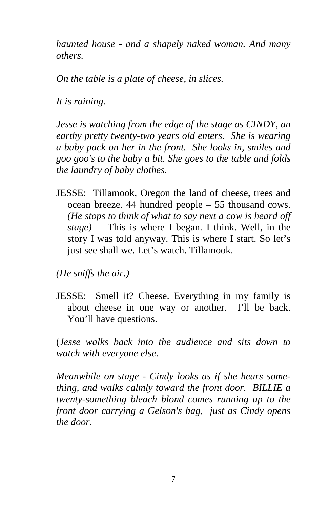*haunted house - and a shapely naked woman. And many others.* 

*On the table is a plate of cheese, in slices.* 

*It is raining.* 

*Jesse is watching from the edge of the stage as CINDY, an earthy pretty twenty-two years old enters. She is wearing a baby pack on her in the front. She looks in, smiles and goo goo's to the baby a bit. She goes to the table and folds the laundry of baby clothes.* 

JESSE: Tillamook, Oregon the land of cheese, trees and ocean breeze. 44 hundred people – 55 thousand cows. *(He stops to think of what to say next a cow is heard off stage)* This is where I began. I think. Well, in the story I was told anyway. This is where I start. So let's just see shall we. Let's watch. Tillamook.

*(He sniffs the air.)* 

JESSE: Smell it? Cheese. Everything in my family is about cheese in one way or another. I'll be back. You'll have questions.

(*Jesse walks back into the audience and sits down to watch with everyone else.*

*Meanwhile on stage - Cindy looks as if she hears something, and walks calmly toward the front door. BILLIE a twenty-something bleach blond comes running up to the front door carrying a Gelson's bag, just as Cindy opens the door.*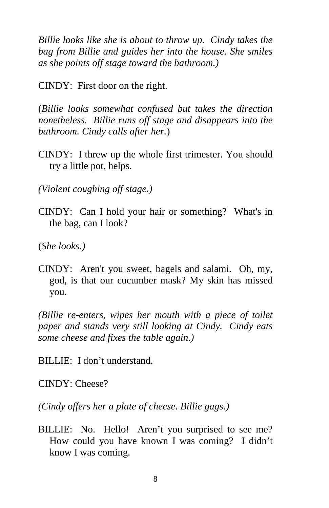*Billie looks like she is about to throw up. Cindy takes the bag from Billie and guides her into the house. She smiles as she points off stage toward the bathroom.)* 

CINDY: First door on the right.

(*Billie looks somewhat confused but takes the direction nonetheless. Billie runs off stage and disappears into the bathroom. Cindy calls after her.*)

CINDY: I threw up the whole first trimester. You should try a little pot, helps.

*(Violent coughing off stage.)* 

CINDY: Can I hold your hair or something? What's in the bag, can I look?

(*She looks.)* 

CINDY: Aren't you sweet, bagels and salami. Oh, my, god, is that our cucumber mask? My skin has missed you.

*(Billie re-enters, wipes her mouth with a piece of toilet paper and stands very still looking at Cindy. Cindy eats some cheese and fixes the table again.)* 

BILLIE: I don't understand.

CINDY: Cheese?

*(Cindy offers her a plate of cheese. Billie gags.)* 

BILLIE: No. Hello! Aren't you surprised to see me? How could you have known I was coming? I didn't know I was coming.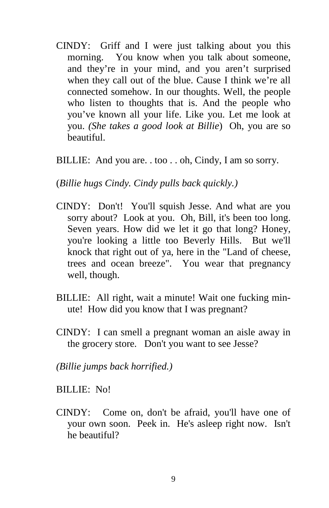- CINDY: Griff and I were just talking about you this morning. You know when you talk about someone, and they're in your mind, and you aren't surprised when they call out of the blue. Cause I think we're all connected somehow. In our thoughts. Well, the people who listen to thoughts that is. And the people who you've known all your life. Like you. Let me look at you. *(She takes a good look at Billie*) Oh, you are so beautiful.
- BILLIE: And you are. . too . . oh, Cindy, I am so sorry.

(*Billie hugs Cindy. Cindy pulls back quickly.)* 

- CINDY: Don't! You'll squish Jesse. And what are you sorry about? Look at you. Oh, Bill, it's been too long. Seven years. How did we let it go that long? Honey, you're looking a little too Beverly Hills. But we'll knock that right out of ya, here in the "Land of cheese, trees and ocean breeze". You wear that pregnancy well, though.
- BILLIE: All right, wait a minute! Wait one fucking minute! How did you know that I was pregnant?
- CINDY: I can smell a pregnant woman an aisle away in the grocery store. Don't you want to see Jesse?

*(Billie jumps back horrified.)* 

BILLIE: No!

CINDY: Come on, don't be afraid, you'll have one of your own soon. Peek in. He's asleep right now. Isn't he beautiful?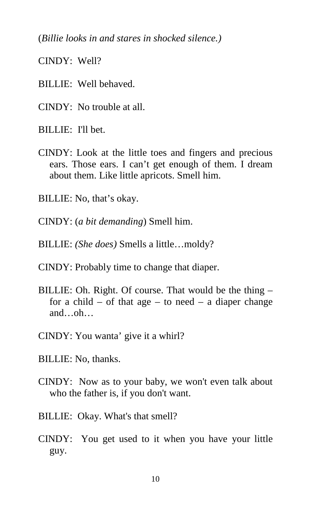(*Billie looks in and stares in shocked silence.)* 

CINDY: Well?

- BILLIE: Well behaved.
- CINDY: No trouble at all.

BILLIE: I'll bet.

- CINDY: Look at the little toes and fingers and precious ears. Those ears. I can't get enough of them. I dream about them. Like little apricots. Smell him.
- BILLIE: No, that's okay.
- CINDY: (*a bit demanding*) Smell him.
- BILLIE: *(She does)* Smells a little…moldy?
- CINDY: Probably time to change that diaper.
- BILLIE: Oh. Right. Of course. That would be the thing for a child – of that age – to need – a diaper change and…oh…
- CINDY: You wanta' give it a whirl?
- BILLIE: No, thanks.
- CINDY: Now as to your baby, we won't even talk about who the father is, if you don't want.
- BILLIE: Okay. What's that smell?
- CINDY: You get used to it when you have your little guy.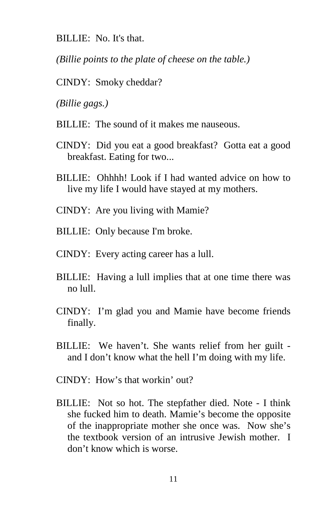BILLIE: No. It's that.

*(Billie points to the plate of cheese on the table.)* 

CINDY: Smoky cheddar?

*(Billie gags.)* 

- BILLIE: The sound of it makes me nauseous.
- CINDY: Did you eat a good breakfast? Gotta eat a good breakfast. Eating for two...
- BILLIE: Ohhhh! Look if I had wanted advice on how to live my life I would have stayed at my mothers.
- CINDY: Are you living with Mamie?
- BILLIE: Only because I'm broke.
- CINDY: Every acting career has a lull.
- BILLIE: Having a lull implies that at one time there was no lull.
- CINDY: I'm glad you and Mamie have become friends finally.
- BILLIE: We haven't. She wants relief from her guilt and I don't know what the hell I'm doing with my life.
- CINDY: How's that workin' out?
- BILLIE: Not so hot. The stepfather died. Note I think she fucked him to death. Mamie's become the opposite of the inappropriate mother she once was. Now she's the textbook version of an intrusive Jewish mother. I don't know which is worse.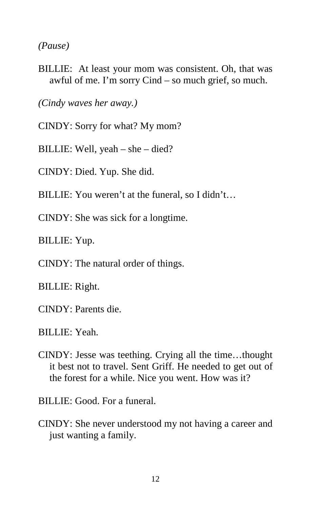*(Pause)* 

BILLIE: At least your mom was consistent. Oh, that was awful of me. I'm sorry Cind – so much grief, so much.

*(Cindy waves her away.)* 

- CINDY: Sorry for what? My mom?
- BILLIE: Well, yeah she died?

CINDY: Died. Yup. She did.

- BILLIE: You weren't at the funeral, so I didn't…
- CINDY: She was sick for a longtime.

BILLIE: Yup.

CINDY: The natural order of things.

BILLIE: Right.

CINDY: Parents die.

BILLIE: Yeah.

CINDY: Jesse was teething. Crying all the time…thought it best not to travel. Sent Griff. He needed to get out of the forest for a while. Nice you went. How was it?

BILLIE: Good. For a funeral.

CINDY: She never understood my not having a career and just wanting a family.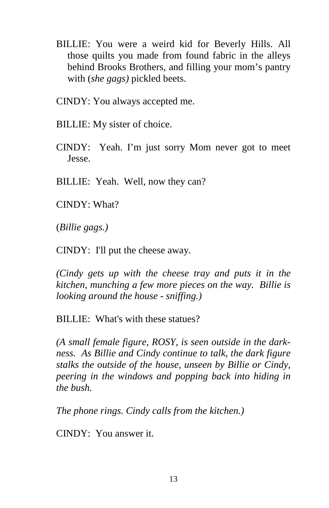- BILLIE: You were a weird kid for Beverly Hills. All those quilts you made from found fabric in the alleys behind Brooks Brothers, and filling your mom's pantry with (*she gags)* pickled beets.
- CINDY: You always accepted me.
- BILLIE: My sister of choice.
- CINDY: Yeah. I'm just sorry Mom never got to meet Jesse.
- BILLIE: Yeah. Well, now they can?
- CINDY: What?

(*Billie gags.)* 

CINDY: I'll put the cheese away.

*(Cindy gets up with the cheese tray and puts it in the kitchen, munching a few more pieces on the way. Billie is looking around the house - sniffing.)* 

BILLIE: What's with these statues?

*(A small female figure, ROSY, is seen outside in the darkness. As Billie and Cindy continue to talk, the dark figure stalks the outside of the house, unseen by Billie or Cindy, peering in the windows and popping back into hiding in the bush.* 

*The phone rings. Cindy calls from the kitchen.)* 

CINDY: You answer it.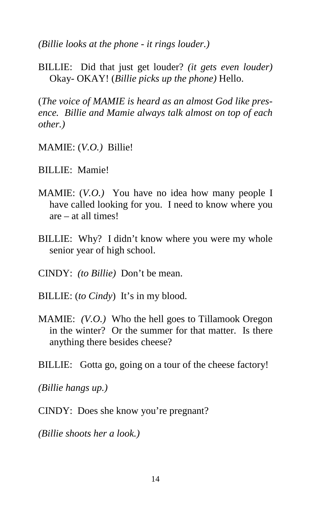*(Billie looks at the phone - it rings louder.)* 

BILLIE: Did that just get louder? *(it gets even louder)* Okay- OKAY! (*Billie picks up the phone)* Hello.

(*The voice of MAMIE is heard as an almost God like presence. Billie and Mamie always talk almost on top of each other.)*

MAMIE: (*V.O.)* Billie!

BILLIE: Mamie!

- MAMIE: (*V.O.)* You have no idea how many people I have called looking for you. I need to know where you are – at all times!
- BILLIE: Why? I didn't know where you were my whole senior year of high school.
- CINDY: *(to Billie)* Don't be mean.
- BILLIE: (*to Cindy*) It's in my blood.
- MAMIE: *(V.O.)* Who the hell goes to Tillamook Oregon in the winter? Or the summer for that matter. Is there anything there besides cheese?
- BILLIE: Gotta go, going on a tour of the cheese factory!

*(Billie hangs up.)* 

CINDY: Does she know you're pregnant?

*(Billie shoots her a look.)*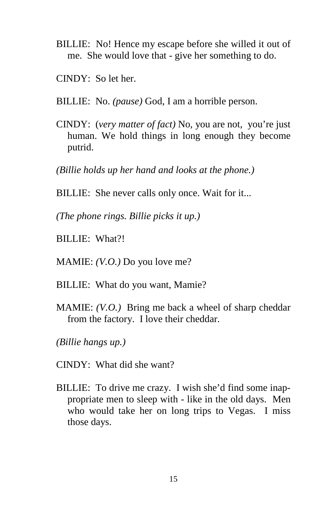- BILLIE: No! Hence my escape before she willed it out of me. She would love that - give her something to do.
- CINDY: So let her.
- BILLIE: No. *(pause)* God, I am a horrible person.
- CINDY: (*very matter of fact)* No, you are not, you're just human. We hold things in long enough they become putrid.

*(Billie holds up her hand and looks at the phone.)* 

BILLIE: She never calls only once. Wait for it...

*(The phone rings. Billie picks it up.)* 

BILLIE: What?!

MAMIE: *(V.O.)* Do you love me?

- BILLIE: What do you want, Mamie?
- MAMIE: *(V.O.)* Bring me back a wheel of sharp cheddar from the factory. I love their cheddar.
- *(Billie hangs up.)*
- CINDY: What did she want?
- BILLIE: To drive me crazy. I wish she'd find some inappropriate men to sleep with - like in the old days. Men who would take her on long trips to Vegas. I miss those days.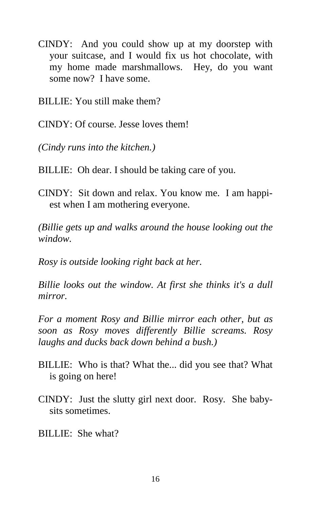CINDY: And you could show up at my doorstep with your suitcase, and I would fix us hot chocolate, with my home made marshmallows. Hey, do you want some now? I have some.

BILLIE: You still make them?

CINDY: Of course. Jesse loves them!

*(Cindy runs into the kitchen.)* 

BILLIE: Oh dear. I should be taking care of you.

CINDY: Sit down and relax. You know me. I am happiest when I am mothering everyone.

*(Billie gets up and walks around the house looking out the window.* 

*Rosy is outside looking right back at her.* 

*Billie looks out the window. At first she thinks it's a dull mirror.* 

*For a moment Rosy and Billie mirror each other, but as soon as Rosy moves differently Billie screams. Rosy laughs and ducks back down behind a bush.)* 

- BILLIE: Who is that? What the... did you see that? What is going on here!
- CINDY: Just the slutty girl next door. Rosy. She babysits sometimes.

BILLIE: She what?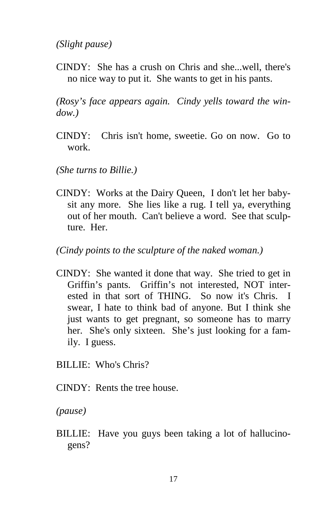*(Slight pause)* 

CINDY: She has a crush on Chris and she...well, there's no nice way to put it. She wants to get in his pants.

*(Rosy's face appears again. Cindy yells toward the window.)* 

- CINDY: Chris isn't home, sweetie. Go on now. Go to work.
- *(She turns to Billie.)*
- CINDY: Works at the Dairy Queen, I don't let her babysit any more. She lies like a rug. I tell ya, everything out of her mouth. Can't believe a word. See that sculpture. Her.

*(Cindy points to the sculpture of the naked woman.)*

CINDY: She wanted it done that way. She tried to get in Griffin's pants. Griffin's not interested, NOT interested in that sort of THING. So now it's Chris. I swear, I hate to think bad of anyone. But I think she just wants to get pregnant, so someone has to marry her. She's only sixteen. She's just looking for a family. I guess.

BILLIE: Who's Chris?

CINDY: Rents the tree house.

*(pause)* 

BILLIE: Have you guys been taking a lot of hallucinogens?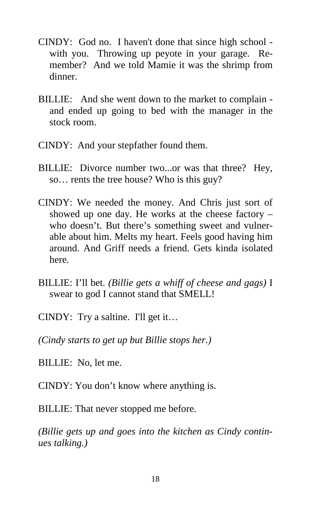- CINDY: God no. I haven't done that since high school with you. Throwing up peyote in your garage. Remember? And we told Mamie it was the shrimp from dinner.
- BILLIE: And she went down to the market to complain and ended up going to bed with the manager in the stock room.
- CINDY: And your stepfather found them.
- BILLIE: Divorce number two...or was that three? Hey, so… rents the tree house? Who is this guy?
- CINDY: We needed the money. And Chris just sort of showed up one day. He works at the cheese factory – who doesn't. But there's something sweet and vulnerable about him. Melts my heart. Feels good having him around. And Griff needs a friend. Gets kinda isolated here.
- BILLIE: I'll bet. *(Billie gets a whiff of cheese and gags)* I swear to god I cannot stand that SMELL!
- CINDY: Try a saltine. I'll get it...

*(Cindy starts to get up but Billie stops her.)* 

- BILLIE: No, let me.
- CINDY: You don't know where anything is.

BILLIE: That never stopped me before.

*(Billie gets up and goes into the kitchen as Cindy continues talking.)*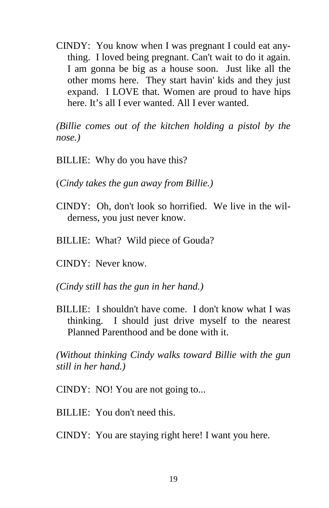CINDY: You know when I was pregnant I could eat anything. I loved being pregnant. Can't wait to do it again. I am gonna be big as a house soon. Just like all the other moms here. They start havin' kids and they just expand. I LOVE that. Women are proud to have hips here. It's all I ever wanted. All I ever wanted.

*(Billie comes out of the kitchen holding a pistol by the nose.)* 

- BILLIE: Why do you have this?
- (*Cindy takes the gun away from Billie.)*
- CINDY: Oh, don't look so horrified. We live in the wilderness, you just never know.
- BILLIE: What? Wild piece of Gouda?
- CINDY: Never know.
- *(Cindy still has the gun in her hand.)*
- BILLIE: I shouldn't have come. I don't know what I was thinking. I should just drive myself to the nearest Planned Parenthood and be done with it.

*(Without thinking Cindy walks toward Billie with the gun still in her hand.)* 

- CINDY: NO! You are not going to...
- BILLIE: You don't need this.
- CINDY: You are staying right here! I want you here.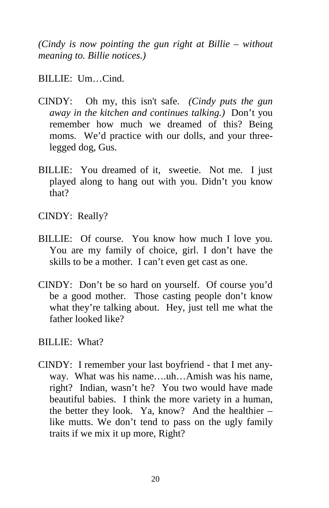*(Cindy is now pointing the gun right at Billie – without meaning to. Billie notices.)* 

BILLIE: Um…Cind.

- CINDY: Oh my, this isn't safe. *(Cindy puts the gun away in the kitchen and continues talking.)* Don't you remember how much we dreamed of this? Being moms. We'd practice with our dolls, and your threelegged dog, Gus.
- BILLIE: You dreamed of it, sweetie. Not me. I just played along to hang out with you. Didn't you know that?
- CINDY: Really?
- BILLIE: Of course. You know how much I love you. You are my family of choice, girl. I don't have the skills to be a mother. I can't even get cast as one.
- CINDY: Don't be so hard on yourself. Of course you'd be a good mother. Those casting people don't know what they're talking about. Hey, just tell me what the father looked like?
- BILLIE: What?
- CINDY: I remember your last boyfriend that I met anyway. What was his name….uh…Amish was his name, right? Indian, wasn't he? You two would have made beautiful babies. I think the more variety in a human, the better they look. Ya, know? And the healthier – like mutts. We don't tend to pass on the ugly family traits if we mix it up more, Right?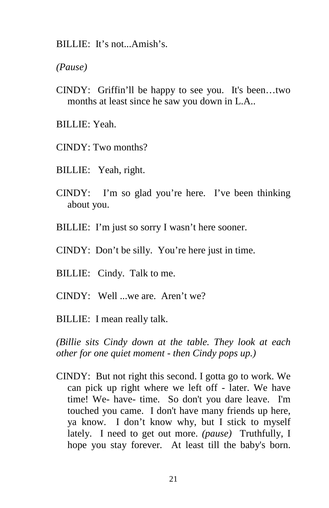BILLIE: It's not...Amish's.

*(Pause)* 

- CINDY: Griffin'll be happy to see you. It's been…two months at least since he saw you down in L.A..
- BILLIE: Yeah.
- CINDY: Two months?
- BILLIE: Yeah, right.
- CINDY: I'm so glad you're here. I've been thinking about you.
- BILLIE: I'm just so sorry I wasn't here sooner.
- CINDY: Don't be silly. You're here just in time.
- BILLIE: Cindy. Talk to me.
- CINDY: Well ...we are. Aren't we?
- BILLIE: I mean really talk.

*(Billie sits Cindy down at the table. They look at each other for one quiet moment - then Cindy pops up.)* 

CINDY: But not right this second. I gotta go to work. We can pick up right where we left off - later. We have time! We- have- time. So don't you dare leave. I'm touched you came. I don't have many friends up here, ya know. I don't know why, but I stick to myself lately. I need to get out more. *(pause)* Truthfully, I hope you stay forever. At least till the baby's born.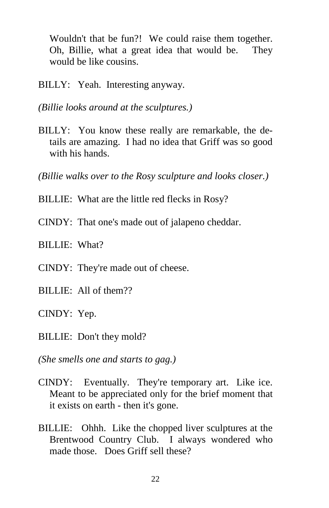Wouldn't that be fun?! We could raise them together. Oh, Billie, what a great idea that would be. They would be like cousins.

BILLY: Yeah. Interesting anyway.

*(Billie looks around at the sculptures.)* 

BILLY: You know these really are remarkable, the details are amazing. I had no idea that Griff was so good with his hands.

*(Billie walks over to the Rosy sculpture and looks closer.)* 

- BILLIE: What are the little red flecks in Rosy?
- CINDY: That one's made out of jalapeno cheddar.
- BILLIE: What?
- CINDY: They're made out of cheese.
- BILLIE: All of them??
- CINDY: Yep.
- BILLIE: Don't they mold?

*(She smells one and starts to gag.)* 

- CINDY: Eventually. They're temporary art. Like ice. Meant to be appreciated only for the brief moment that it exists on earth - then it's gone.
- BILLIE: Ohhh. Like the chopped liver sculptures at the Brentwood Country Club. I always wondered who made those. Does Griff sell these?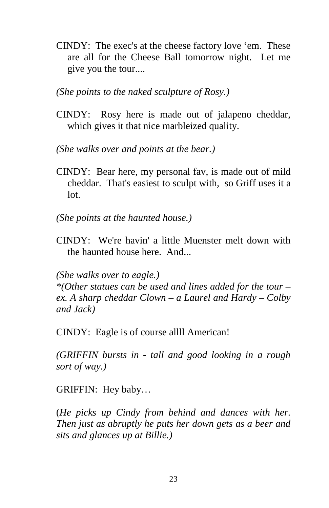CINDY: The exec's at the cheese factory love 'em. These are all for the Cheese Ball tomorrow night. Let me give you the tour....

*(She points to the naked sculpture of Rosy.)* 

CINDY: Rosy here is made out of jalapeno cheddar, which gives it that nice marbleized quality.

*(She walks over and points at the bear.)* 

CINDY: Bear here, my personal fav, is made out of mild cheddar. That's easiest to sculpt with, so Griff uses it a lot.

*(She points at the haunted house.)* 

CINDY: We're havin' a little Muenster melt down with the haunted house here. And...

*(She walks over to eagle.)* 

*\*(Other statues can be used and lines added for the tour – ex. A sharp cheddar Clown – a Laurel and Hardy – Colby and Jack)* 

CINDY: Eagle is of course allll American!

*(GRIFFIN bursts in - tall and good looking in a rough sort of way.)* 

GRIFFIN: Hey baby…

(*He picks up Cindy from behind and dances with her. Then just as abruptly he puts her down gets as a beer and sits and glances up at Billie.)*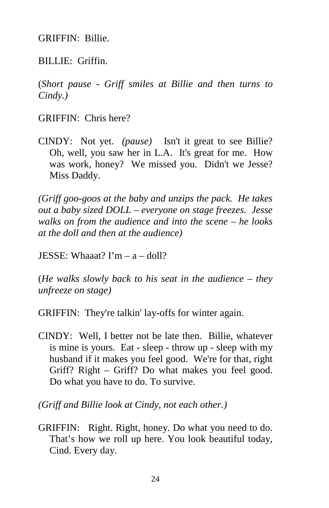GRIFFIN: Billie.

BILLIE: Griffin.

(*Short pause - Griff smiles at Billie and then turns to Cindy.)* 

GRIFFIN: Chris here?

CINDY: Not yet. *(pause)* Isn't it great to see Billie? Oh, well, you saw her in L.A. It's great for me. How was work, honey? We missed you. Didn't we Jesse? Miss Daddy.

*(Griff goo-goos at the baby and unzips the pack. He takes out a baby sized DOLL – everyone on stage freezes. Jesse walks on from the audience and into the scene – he looks at the doll and then at the audience)* 

JESSE: Whaaat?  $\Gamma m - a -$ doll?

(*He walks slowly back to his seat in the audience – they unfreeze on stage)* 

GRIFFIN: They're talkin' lay-offs for winter again.

CINDY: Well, I better not be late then. Billie, whatever is mine is yours. Eat - sleep - throw up - sleep with my husband if it makes you feel good. We're for that, right Griff? Right – Griff? Do what makes you feel good. Do what you have to do. To survive.

*(Griff and Billie look at Cindy, not each other.)* 

GRIFFIN: Right. Right, honey. Do what you need to do. That's how we roll up here. You look beautiful today, Cind. Every day.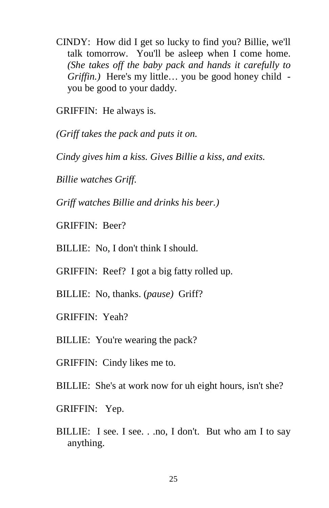CINDY: How did I get so lucky to find you? Billie, we'll talk tomorrow. You'll be asleep when I come home. *(She takes off the baby pack and hands it carefully to Griffin.)* Here's my little… you be good honey child you be good to your daddy.

GRIFFIN: He always is.

*(Griff takes the pack and puts it on.* 

*Cindy gives him a kiss. Gives Billie a kiss, and exits.* 

*Billie watches Griff.* 

*Griff watches Billie and drinks his beer.)* 

GRIFFIN: Beer?

BILLIE: No, I don't think I should.

GRIFFIN: Reef? I got a big fatty rolled up.

BILLIE: No, thanks. (*pause)* Griff?

GRIFFIN: Yeah?

BILLIE: You're wearing the pack?

GRIFFIN: Cindy likes me to.

BILLIE: She's at work now for uh eight hours, isn't she?

GRIFFIN: Yep.

BILLIE: I see. I see. . .no, I don't. But who am I to say anything.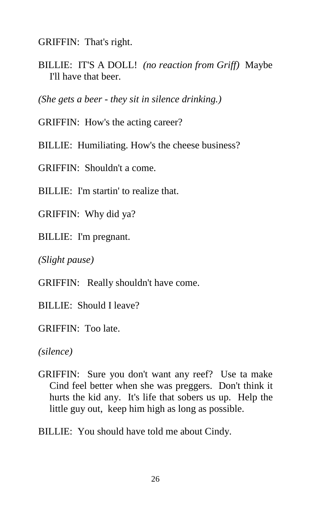GRIFFIN: That's right.

BILLIE: IT'S A DOLL! *(no reaction from Griff)* Maybe I'll have that beer.

*(She gets a beer - they sit in silence drinking.)* 

GRIFFIN: How's the acting career?

BILLIE: Humiliating. How's the cheese business?

GRIFFIN: Shouldn't a come.

BILLIE: I'm startin' to realize that.

GRIFFIN: Why did ya?

BILLIE: I'm pregnant.

*(Slight pause)* 

GRIFFIN: Really shouldn't have come.

BILLIE: Should I leave?

GRIFFIN: Too late.

*(silence)* 

GRIFFIN: Sure you don't want any reef? Use ta make Cind feel better when she was preggers. Don't think it hurts the kid any. It's life that sobers us up. Help the little guy out, keep him high as long as possible.

BILLIE: You should have told me about Cindy.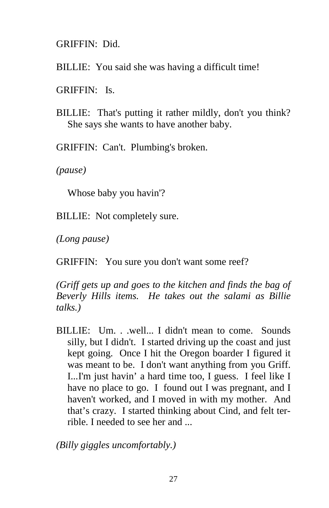GRIFFIN: Did.

BILLIE: You said she was having a difficult time!

GRIFFIN: Is.

BILLIE: That's putting it rather mildly, don't you think? She says she wants to have another baby.

GRIFFIN: Can't. Plumbing's broken.

*(pause)* 

Whose baby you havin'?

BILLIE: Not completely sure.

*(Long pause)* 

GRIFFIN: You sure you don't want some reef?

*(Griff gets up and goes to the kitchen and finds the bag of Beverly Hills items. He takes out the salami as Billie talks.)* 

BILLIE: Um. . .well... I didn't mean to come. Sounds silly, but I didn't. I started driving up the coast and just kept going. Once I hit the Oregon boarder I figured it was meant to be. I don't want anything from you Griff. I...I'm just havin' a hard time too, I guess. I feel like I have no place to go. I found out I was pregnant, and I haven't worked, and I moved in with my mother. And that's crazy. I started thinking about Cind, and felt terrible. I needed to see her and ...

*(Billy giggles uncomfortably.)*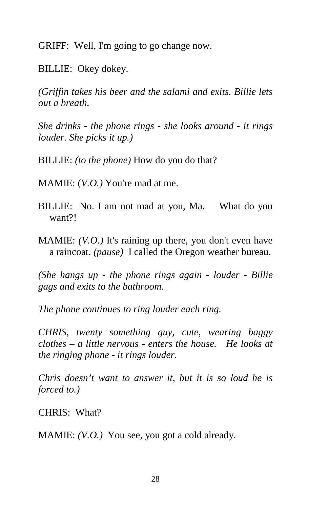GRIFF: Well, I'm going to go change now.

BILLIE: Okey dokey.

*(Griffin takes his beer and the salami and exits. Billie lets out a breath.* 

*She drinks - the phone rings - she looks around - it rings louder. She picks it up.)* 

BILLIE: *(to the phone)* How do you do that?

MAMIE: (*V.O.)* You're mad at me.

- BILLIE: No. I am not mad at you, Ma. What do you want?!
- MAMIE: *(V.O.)* It's raining up there, you don't even have a raincoat. *(pause)* I called the Oregon weather bureau.

*(She hangs up - the phone rings again - louder - Billie gags and exits to the bathroom.* 

*The phone continues to ring louder each ring.* 

*CHRIS, twenty something guy, cute, wearing baggy clothes – a little nervous - enters the house. He looks at the ringing phone - it rings louder.* 

*Chris doesn't want to answer it, but it is so loud he is forced to.)* 

CHRIS: What?

MAMIE: *(V.O.)* You see, you got a cold already.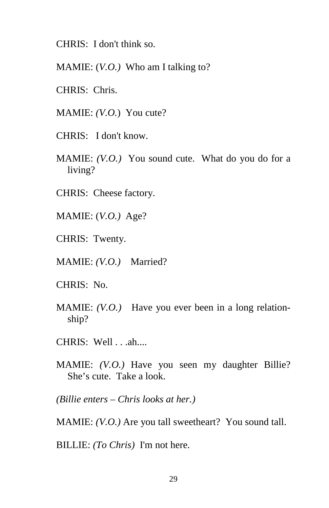CHRIS: I don't think so.

MAMIE: (*V.O.)* Who am I talking to?

- CHRIS: Chris.
- MAMIE: *(V.O.*) You cute?
- CHRIS: I don't know.
- MAMIE: *(V.O.)* You sound cute. What do you do for a living?
- CHRIS: Cheese factory.
- MAMIE: (*V.O.)* Age?
- CHRIS: Twenty.
- MAMIE: *(V.O.)* Married?
- CHRIS: No.
- MAMIE: *(V.O.)* Have you ever been in a long relationship?
- CHRIS: Well . . .ah....
- MAMIE: *(V.O.)* Have you seen my daughter Billie? She's cute. Take a look.

*(Billie enters – Chris looks at her.)* 

MAMIE: *(V.O.)* Are you tall sweetheart? You sound tall.

BILLIE: *(To Chris)* I'm not here.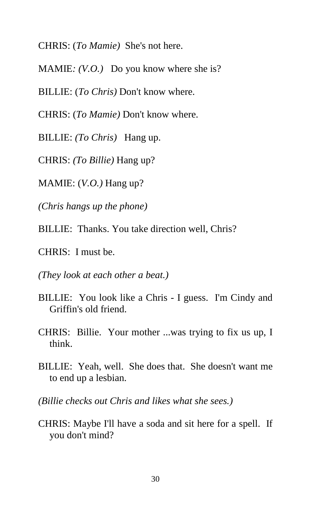CHRIS: (*To Mamie)* She's not here.

MAMIE*: (V.O.)* Do you know where she is?

BILLIE: (*To Chris)* Don't know where.

CHRIS: (*To Mamie)* Don't know where.

BILLIE: *(To Chris)* Hang up.

CHRIS: *(To Billie)* Hang up?

MAMIE: (*V.O.)* Hang up?

*(Chris hangs up the phone)* 

BILLIE: Thanks. You take direction well, Chris?

CHRIS: I must be.

*(They look at each other a beat.)* 

- BILLIE: You look like a Chris I guess. I'm Cindy and Griffin's old friend.
- CHRIS: Billie. Your mother ...was trying to fix us up, I think.
- BILLIE: Yeah, well. She does that. She doesn't want me to end up a lesbian.
- *(Billie checks out Chris and likes what she sees.)*
- CHRIS: Maybe I'll have a soda and sit here for a spell. If you don't mind?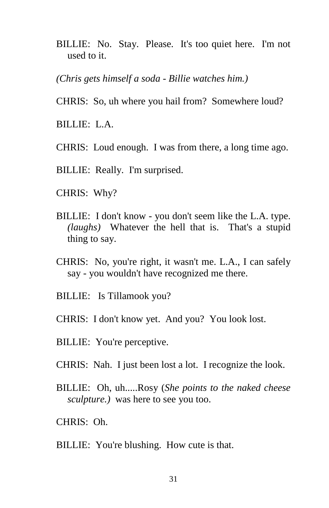- BILLIE: No. Stay. Please. It's too quiet here. I'm not used to it.
- *(Chris gets himself a soda Billie watches him.)*
- CHRIS: So, uh where you hail from? Somewhere loud?
- BILLIE: L.A.
- CHRIS: Loud enough. I was from there, a long time ago.
- BILLIE: Really. I'm surprised.
- CHRIS: Why?
- BILLIE: I don't know you don't seem like the L.A. type. *(laughs)* Whatever the hell that is. That's a stupid thing to say.
- CHRIS: No, you're right, it wasn't me. L.A., I can safely say - you wouldn't have recognized me there.
- BILLIE: Is Tillamook you?
- CHRIS: I don't know yet. And you? You look lost.
- BILLIE: You're perceptive.
- CHRIS: Nah. I just been lost a lot. I recognize the look.
- BILLIE: Oh, uh.....Rosy (*She points to the naked cheese sculpture.)* was here to see you too.
- CHRIS: Oh.
- BILLIE: You're blushing. How cute is that.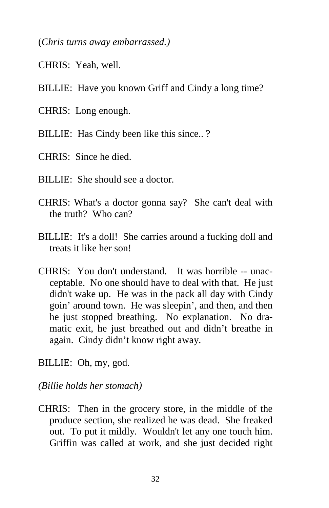(*Chris turns away embarrassed.)*

- CHRIS: Yeah, well.
- BILLIE: Have you known Griff and Cindy a long time?
- CHRIS: Long enough.
- BILLIE: Has Cindy been like this since..?
- CHRIS: Since he died.
- BILLIE: She should see a doctor.
- CHRIS: What's a doctor gonna say? She can't deal with the truth? Who can?
- BILLIE: It's a doll! She carries around a fucking doll and treats it like her son!
- CHRIS: You don't understand. It was horrible -- unacceptable. No one should have to deal with that. He just didn't wake up. He was in the pack all day with Cindy goin' around town. He was sleepin', and then, and then he just stopped breathing. No explanation. No dramatic exit, he just breathed out and didn't breathe in again. Cindy didn't know right away.
- BILLIE: Oh, my, god.
- *(Billie holds her stomach)*
- CHRIS: Then in the grocery store, in the middle of the produce section, she realized he was dead. She freaked out. To put it mildly. Wouldn't let any one touch him. Griffin was called at work, and she just decided right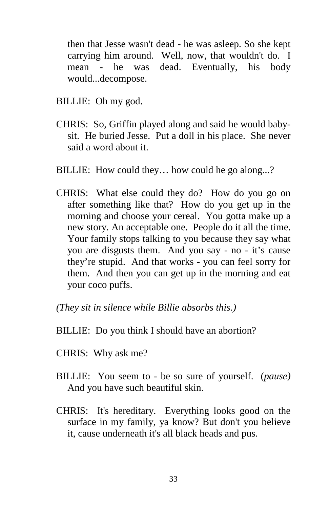then that Jesse wasn't dead - he was asleep. So she kept carrying him around. Well, now, that wouldn't do. I mean - he was dead. Eventually, his body would...decompose.

- BILLIE: Oh my god.
- CHRIS: So, Griffin played along and said he would babysit. He buried Jesse. Put a doll in his place. She never said a word about it.
- BILLIE: How could they... how could he go along...?
- CHRIS: What else could they do? How do you go on after something like that? How do you get up in the morning and choose your cereal. You gotta make up a new story. An acceptable one. People do it all the time. Your family stops talking to you because they say what you are disgusts them. And you say - no - it's cause they're stupid. And that works - you can feel sorry for them. And then you can get up in the morning and eat your coco puffs.
- *(They sit in silence while Billie absorbs this.)*
- BILLIE: Do you think I should have an abortion?
- CHRIS: Why ask me?
- BILLIE: You seem to be so sure of yourself. (*pause)* And you have such beautiful skin.
- CHRIS: It's hereditary. Everything looks good on the surface in my family, ya know? But don't you believe it, cause underneath it's all black heads and pus.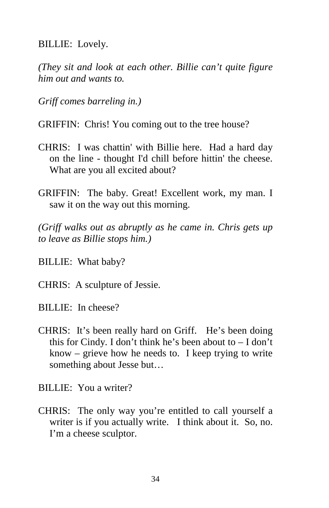BILLIE: Lovely.

*(They sit and look at each other. Billie can't quite figure him out and wants to.* 

*Griff comes barreling in.)* 

GRIFFIN: Chris! You coming out to the tree house?

- CHRIS: I was chattin' with Billie here. Had a hard day on the line - thought I'd chill before hittin' the cheese. What are you all excited about?
- GRIFFIN: The baby. Great! Excellent work, my man. I saw it on the way out this morning.

*(Griff walks out as abruptly as he came in. Chris gets up to leave as Billie stops him.)* 

BILLIE: What baby?

CHRIS: A sculpture of Jessie.

BILLIE: In cheese?

CHRIS: It's been really hard on Griff. He's been doing this for Cindy. I don't think he's been about to  $- I$  don't know – grieve how he needs to. I keep trying to write something about Jesse but…

BILLIE: You a writer?

CHRIS: The only way you're entitled to call yourself a writer is if you actually write. I think about it. So, no. I'm a cheese sculptor.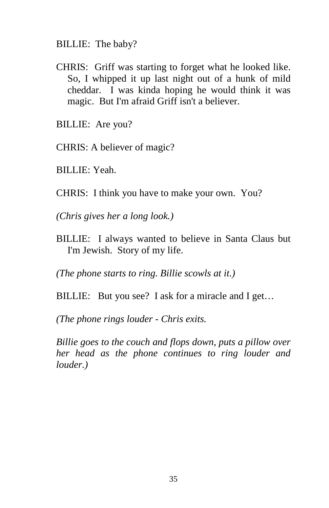BILLIE: The baby?

- CHRIS: Griff was starting to forget what he looked like. So, I whipped it up last night out of a hunk of mild cheddar. I was kinda hoping he would think it was magic. But I'm afraid Griff isn't a believer.
- BILLIE: Are you?
- CHRIS: A believer of magic?
- BILLIE: Yeah.
- CHRIS: I think you have to make your own. You?
- *(Chris gives her a long look.)*
- BILLIE: I always wanted to believe in Santa Claus but I'm Jewish. Story of my life.

*(The phone starts to ring. Billie scowls at it.)* 

BILLIE: But you see? I ask for a miracle and I get...

*(The phone rings louder - Chris exits.* 

*Billie goes to the couch and flops down, puts a pillow over her head as the phone continues to ring louder and louder.)*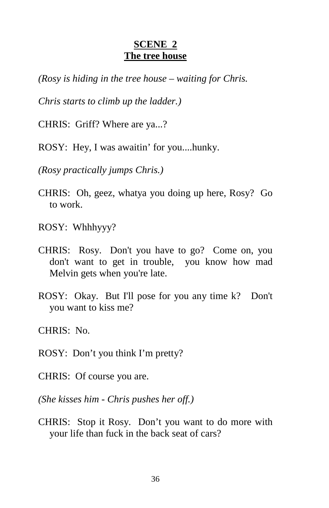#### **SCENE 2 The tree house**

*(Rosy is hiding in the tree house – waiting for Chris.* 

*Chris starts to climb up the ladder.)* 

CHRIS: Griff? Where are ya...?

ROSY: Hey, I was awaitin' for you....hunky.

*(Rosy practically jumps Chris.)* 

CHRIS: Oh, geez, whatya you doing up here, Rosy? Go to work.

ROSY: Whhhyyy?

- CHRIS: Rosy. Don't you have to go? Come on, you don't want to get in trouble, you know how mad Melvin gets when you're late.
- ROSY: Okay. But I'll pose for you any time k? Don't you want to kiss me?

CHRIS: No.

ROSY: Don't you think I'm pretty?

CHRIS: Of course you are.

*(She kisses him - Chris pushes her off.)* 

CHRIS: Stop it Rosy. Don't you want to do more with your life than fuck in the back seat of cars?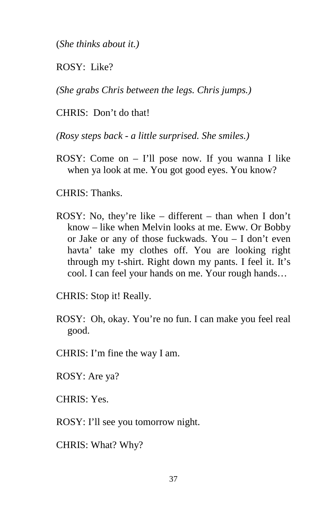(*She thinks about it.)* 

ROSY: Like?

*(She grabs Chris between the legs. Chris jumps.)* 

CHRIS: Don't do that!

*(Rosy steps back - a little surprised. She smiles.)*

ROSY: Come on – I'll pose now. If you wanna I like when ya look at me. You got good eyes. You know?

CHRIS: Thanks.

ROSY: No, they're like – different – than when I don't know – like when Melvin looks at me. Eww. Or Bobby or Jake or any of those fuckwads. You – I don't even havta' take my clothes off. You are looking right through my t-shirt. Right down my pants. I feel it. It's cool. I can feel your hands on me. Your rough hands…

CHRIS: Stop it! Really.

- ROSY: Oh, okay. You're no fun. I can make you feel real good.
- CHRIS: I'm fine the way I am.

ROSY: Are ya?

CHRIS: Yes.

ROSY: I'll see you tomorrow night.

CHRIS: What? Why?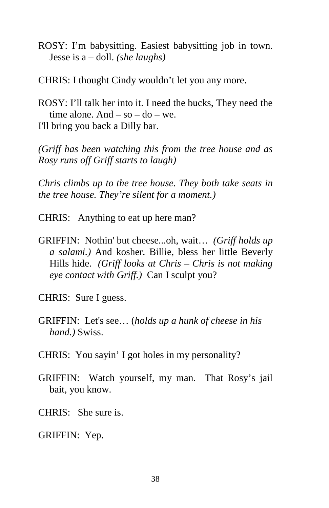ROSY: I'm babysitting. Easiest babysitting job in town. Jesse is a – doll. *(she laughs)* 

CHRIS: I thought Cindy wouldn't let you any more.

ROSY: I'll talk her into it. I need the bucks, They need the time alone. And  $-$  so  $-$  do  $-$  we. I'll bring you back a Dilly bar.

*(Griff has been watching this from the tree house and as Rosy runs off Griff starts to laugh)* 

*Chris climbs up to the tree house. They both take seats in the tree house. They're silent for a moment.)* 

- CHRIS: Anything to eat up here man?
- GRIFFIN: Nothin' but cheese...oh, wait… *(Griff holds up a salami.)* And kosher. Billie, bless her little Beverly Hills hide. *(Griff looks at Chris – Chris is not making eye contact with Griff.)* Can I sculpt you?
- CHRIS: Sure I guess.
- GRIFFIN: Let's see… (*holds up a hunk of cheese in his hand.)* Swiss.
- CHRIS: You sayin' I got holes in my personality?
- GRIFFIN: Watch yourself, my man. That Rosy's jail bait, you know.
- CHRIS: She sure is.

GRIFFIN: Yep.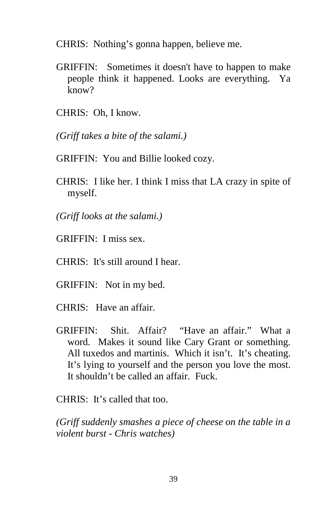CHRIS: Nothing's gonna happen, believe me.

- GRIFFIN: Sometimes it doesn't have to happen to make people think it happened. Looks are everything. Ya know?
- CHRIS: Oh, I know.
- *(Griff takes a bite of the salami.)*
- GRIFFIN: You and Billie looked cozy.
- CHRIS: I like her. I think I miss that LA crazy in spite of myself.
- *(Griff looks at the salami.)*
- GRIFFIN: I miss sex.
- CHRIS: It's still around I hear.
- GRIFFIN: Not in my bed.
- CHRIS: Have an affair.
- GRIFFIN: Shit. Affair? "Have an affair." What a word. Makes it sound like Cary Grant or something. All tuxedos and martinis. Which it isn't. It's cheating. It's lying to yourself and the person you love the most. It shouldn't be called an affair. Fuck.

CHRIS: It's called that too.

*(Griff suddenly smashes a piece of cheese on the table in a violent burst - Chris watches)*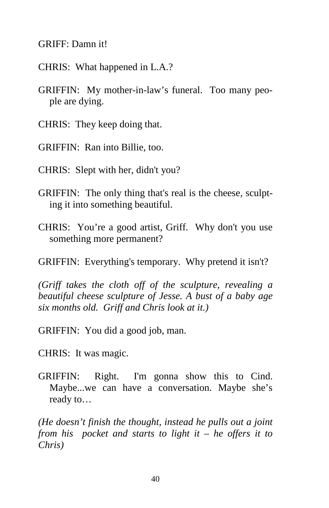GRIFF: Damn it!

CHRIS: What happened in L.A.?

GRIFFIN: My mother-in-law's funeral. Too many people are dying.

CHRIS: They keep doing that.

GRIFFIN: Ran into Billie, too.

CHRIS: Slept with her, didn't you?

- GRIFFIN: The only thing that's real is the cheese, sculpting it into something beautiful.
- CHRIS: You're a good artist, Griff. Why don't you use something more permanent?

GRIFFIN: Everything's temporary. Why pretend it isn't?

*(Griff takes the cloth off of the sculpture, revealing a beautiful cheese sculpture of Jesse. A bust of a baby age six months old. Griff and Chris look at it.)* 

GRIFFIN: You did a good job, man.

CHRIS: It was magic.

GRIFFIN: Right. I'm gonna show this to Cind. Maybe...we can have a conversation. Maybe she's ready to…

*(He doesn't finish the thought, instead he pulls out a joint from his pocket and starts to light it – he offers it to Chris)*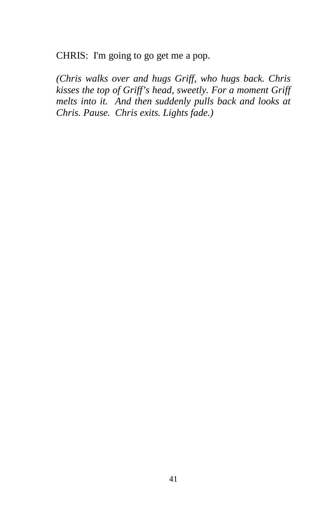CHRIS: I'm going to go get me a pop.

*(Chris walks over and hugs Griff, who hugs back. Chris kisses the top of Griff's head, sweetly. For a moment Griff melts into it. And then suddenly pulls back and looks at Chris. Pause. Chris exits. Lights fade.)*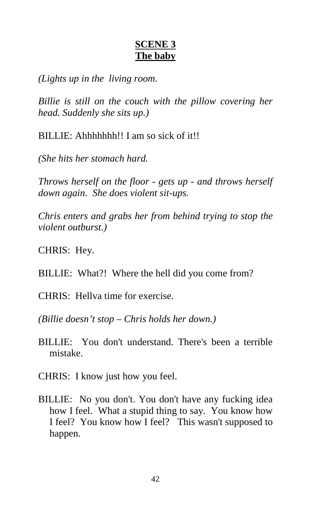#### **SCENE 3 The baby**

*(Lights up in the living room.* 

*Billie is still on the couch with the pillow covering her head. Suddenly she sits up.)* 

BILLIE: Ahhhhhhh!! I am so sick of it!!

*(She hits her stomach hard.* 

*Throws herself on the floor - gets up - and throws herself down again. She does violent sit-ups.* 

*Chris enters and grabs her from behind trying to stop the violent outburst.)* 

CHRIS: Hey.

BILLIE: What?! Where the hell did you come from?

CHRIS: Hellva time for exercise.

*(Billie doesn't stop – Chris holds her down.)* 

- BILLIE: You don't understand. There's been a terrible mistake.
- CHRIS: I know just how you feel.
- BILLIE: No you don't. You don't have any fucking idea how I feel. What a stupid thing to say. You know how I feel? You know how I feel? This wasn't supposed to happen.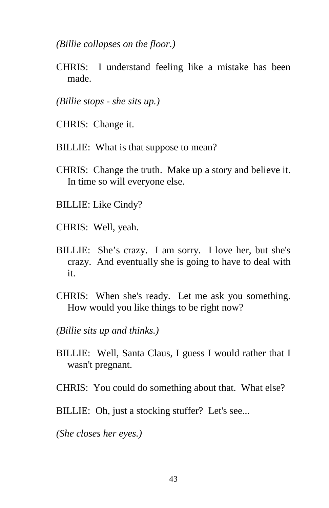*(Billie collapses on the floor.)* 

- CHRIS: I understand feeling like a mistake has been made.
- *(Billie stops she sits up.)*
- CHRIS: Change it.
- BILLIE: What is that suppose to mean?
- CHRIS: Change the truth. Make up a story and believe it. In time so will everyone else.
- BILLIE: Like Cindy?
- CHRIS: Well, yeah.
- BILLIE: She's crazy. I am sorry. I love her, but she's crazy. And eventually she is going to have to deal with it.
- CHRIS: When she's ready. Let me ask you something. How would you like things to be right now?
- *(Billie sits up and thinks.)*
- BILLIE: Well, Santa Claus, I guess I would rather that I wasn't pregnant.
- CHRIS: You could do something about that. What else?
- BILLIE: Oh, just a stocking stuffer? Let's see...

*(She closes her eyes.)*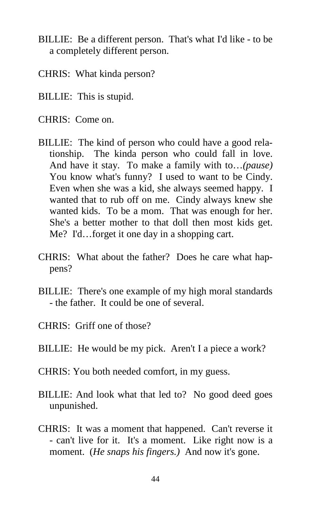- BILLIE: Be a different person. That's what I'd like to be a completely different person.
- CHRIS: What kinda person?
- BILLIE: This is stupid.
- CHRIS: Come on.
- BILLIE: The kind of person who could have a good relationship. The kinda person who could fall in love. And have it stay. To make a family with to…*(pause)* You know what's funny? I used to want to be Cindy. Even when she was a kid, she always seemed happy. I wanted that to rub off on me. Cindy always knew she wanted kids. To be a mom. That was enough for her. She's a better mother to that doll then most kids get. Me? I'd…forget it one day in a shopping cart.
- CHRIS: What about the father? Does he care what happens?
- BILLIE: There's one example of my high moral standards - the father. It could be one of several.
- CHRIS: Griff one of those?
- BILLIE: He would be my pick. Aren't I a piece a work?
- CHRIS: You both needed comfort, in my guess.
- BILLIE: And look what that led to? No good deed goes unpunished.
- CHRIS: It was a moment that happened. Can't reverse it - can't live for it. It's a moment. Like right now is a moment. (*He snaps his fingers.)* And now it's gone.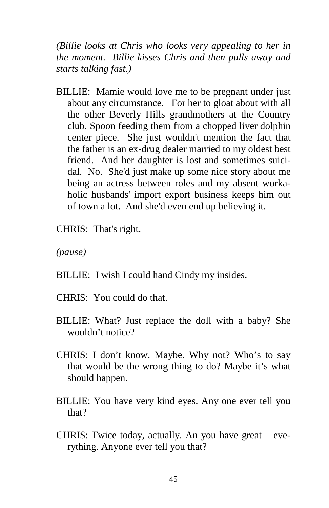*(Billie looks at Chris who looks very appealing to her in the moment. Billie kisses Chris and then pulls away and starts talking fast.)* 

- BILLIE: Mamie would love me to be pregnant under just about any circumstance. For her to gloat about with all the other Beverly Hills grandmothers at the Country club. Spoon feeding them from a chopped liver dolphin center piece. She just wouldn't mention the fact that the father is an ex-drug dealer married to my oldest best friend. And her daughter is lost and sometimes suicidal. No. She'd just make up some nice story about me being an actress between roles and my absent workaholic husbands' import export business keeps him out of town a lot. And she'd even end up believing it.
- CHRIS: That's right.

*(pause)* 

- BILLIE: I wish I could hand Cindy my insides.
- CHRIS: You could do that.
- BILLIE: What? Just replace the doll with a baby? She wouldn't notice?
- CHRIS: I don't know. Maybe. Why not? Who's to say that would be the wrong thing to do? Maybe it's what should happen.
- BILLIE: You have very kind eyes. Any one ever tell you that?
- CHRIS: Twice today, actually. An you have great everything. Anyone ever tell you that?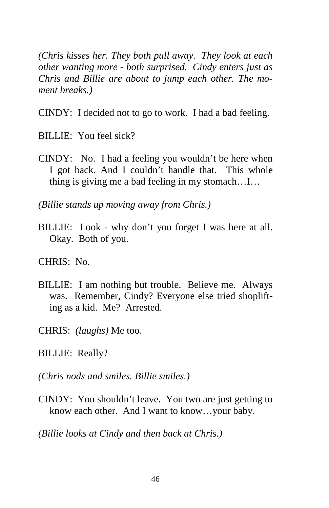*(Chris kisses her. They both pull away. They look at each other wanting more - both surprised. Cindy enters just as Chris and Billie are about to jump each other. The moment breaks.)* 

CINDY: I decided not to go to work. I had a bad feeling.

BILLIE: You feel sick?

CINDY: No. I had a feeling you wouldn't be here when I got back. And I couldn't handle that. This whole thing is giving me a bad feeling in my stomach…I…

*(Billie stands up moving away from Chris.)* 

BILLIE: Look - why don't you forget I was here at all. Okay. Both of you.

CHRIS: No.

- BILLIE: I am nothing but trouble. Believe me. Always was. Remember, Cindy? Everyone else tried shoplifting as a kid. Me? Arrested.
- CHRIS: *(laughs)* Me too.
- BILLIE: Really?
- *(Chris nods and smiles. Billie smiles.)*
- CINDY: You shouldn't leave. You two are just getting to know each other. And I want to know…your baby.

*(Billie looks at Cindy and then back at Chris.)*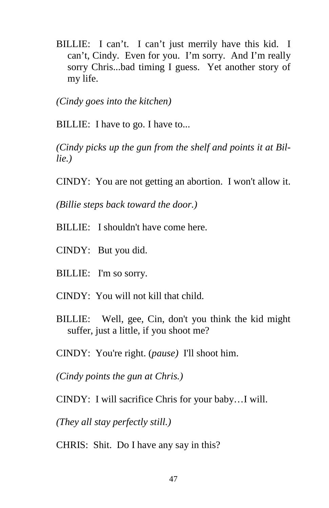BILLIE: I can't. I can't just merrily have this kid. I can't, Cindy. Even for you. I'm sorry. And I'm really sorry Chris...bad timing I guess. Yet another story of my life.

*(Cindy goes into the kitchen)* 

BILLIE: I have to go. I have to...

*(Cindy picks up the gun from the shelf and points it at Billie.)* 

CINDY: You are not getting an abortion. I won't allow it.

*(Billie steps back toward the door.)* 

- BILLIE: I shouldn't have come here.
- CINDY: But you did.
- BILLIE: I'm so sorry.
- CINDY: You will not kill that child.
- BILLIE: Well, gee, Cin, don't you think the kid might suffer, just a little, if you shoot me?
- CINDY: You're right. (*pause)* I'll shoot him.

*(Cindy points the gun at Chris.)* 

CINDY: I will sacrifice Chris for your baby…I will.

*(They all stay perfectly still.)* 

CHRIS: Shit. Do I have any say in this?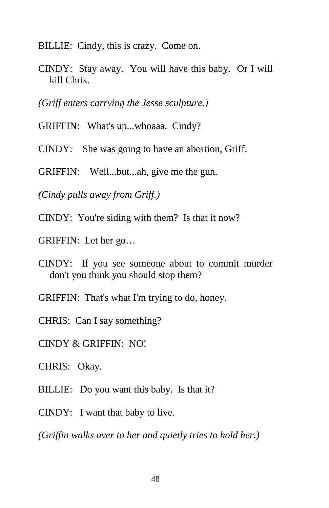BILLIE: Cindy, this is crazy. Come on.

CINDY: Stay away. You will have this baby. Or I will kill Chris.

*(Griff enters carrying the Jesse sculpture.)* 

- GRIFFIN: What's up...whoaaa. Cindy?
- CINDY: She was going to have an abortion, Griff.

GRIFFIN: Well...but...ah, give me the gun.

*(Cindy pulls away from Griff.)* 

CINDY: You're siding with them? Is that it now?

GRIFFIN: Let her go…

- CINDY: If you see someone about to commit murder don't you think you should stop them?
- GRIFFIN: That's what I'm trying to do, honey.

CHRIS: Can I say something?

CINDY & GRIFFIN: NO!

CHRIS: Okay.

- BILLIE: Do you want this baby. Is that it?
- CINDY: I want that baby to live.

*(Griffin walks over to her and quietly tries to hold her.)*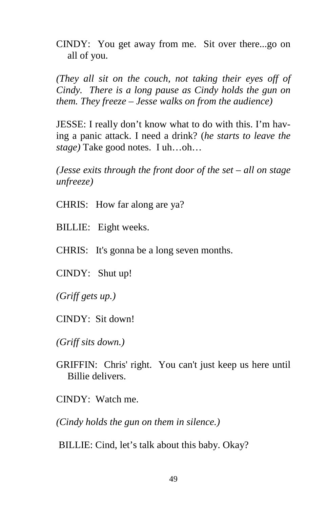CINDY: You get away from me. Sit over there...go on all of you.

*(They all sit on the couch, not taking their eyes off of Cindy. There is a long pause as Cindy holds the gun on them. They freeze – Jesse walks on from the audience)* 

JESSE: I really don't know what to do with this. I'm having a panic attack. I need a drink? (*he starts to leave the stage)* Take good notes. I uh…oh…

*(Jesse exits through the front door of the set – all on stage unfreeze)* 

- CHRIS: How far along are ya?
- BILLIE: Eight weeks.
- CHRIS: It's gonna be a long seven months.
- CINDY: Shut up!
- *(Griff gets up.)*
- CINDY: Sit down!
- *(Griff sits down.)*
- GRIFFIN: Chris' right. You can't just keep us here until Billie delivers.
- CINDY: Watch me.

*(Cindy holds the gun on them in silence.)* 

BILLIE: Cind, let's talk about this baby. Okay?